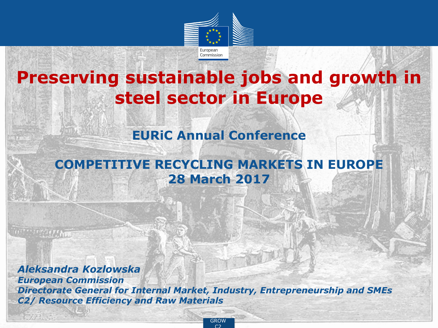

## **Preserving sustainable jobs and growth in steel sector in Europe**

#### **EURiC Annual Conference**

#### **COMPETITIVE RECYCLING MARKETS IN EUROPE 28 March 2017**

*Aleksandra Kozlowska European Commission Directorate General for Internal Market, Industry, Entrepreneurship and SMEs C2/ Resource Efficiency and Raw Materials*

**SELLARY** 

**ENTR** GROW  $C<sub>2</sub>$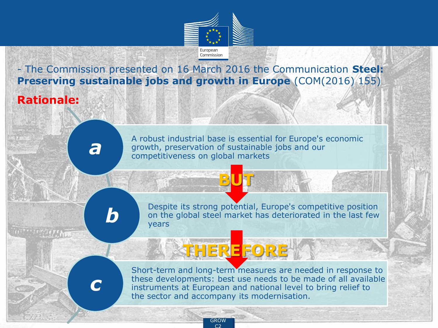

- The Commission presented on 16 March 2016 the Communication **Steel: Preserving sustainable jobs and growth in Europe** (COM(2016) 155)

#### **Rationale:**

A robust industrial base is essential for Europe's economic growth, preservation of sustainable jobs and our competitiveness on global markets

**BUT**

**THEREFORE**

*b*

*a*

Despite its strong potential, Europe's competitive position on the global steel market has deteriorated in the last few years

# *c*

Short-term and long-term measures are needed in response to these developments: best use needs to be made of all available instruments at European and national level to bring relief to the sector and accompany its modernisation.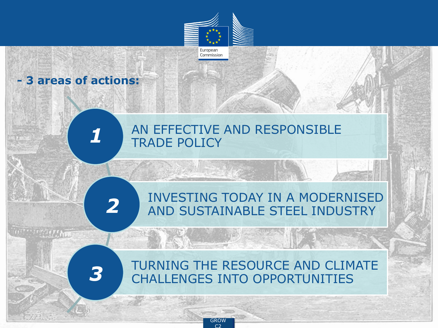

**E**<br>C<sub>2</sub> C2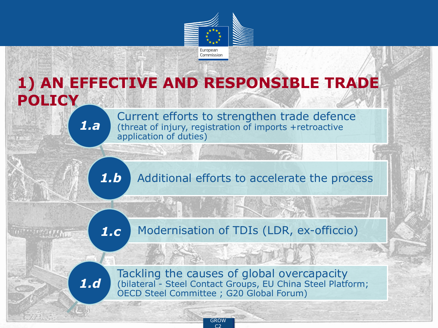

## **1) AN EFFECTIVE AND RESPONSIBLE TRADE**

**POLICY**

*1.a*

Current efforts to strengthen trade defence (threat of injury, registration of imports +retroactive application of duties)

Additional efforts to accelerate the process *1.b*

Modernisation of TDIs (LDR, ex-officcio) *1.c*

Tackling the causes of global overcapacity (bilateral - Steel Contact Groups, EU China Steel Platform; OECD Steel Committee ; G20 Global Forum) *1.d*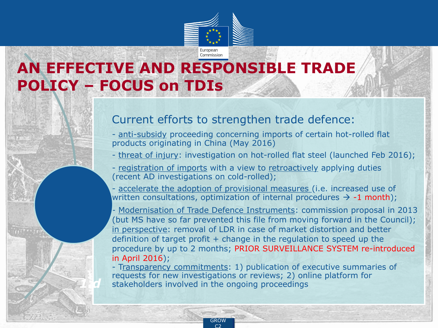

Commission

## **AN EFFECTIVE AND RESPONSIBLE TRADE POLICY – FOCUS on TDIs**

#### Current efforts to strengthen trade defence:

- anti-subsidy proceeding concerning imports of certain hot-rolled flat products originating in China (May 2016)
- threat of injury: investigation on hot-rolled flat steel (launched Feb 2016);
- registration of imports with a view to retroactively applying duties (recent AD investigations on cold-rolled);
- accelerate the adoption of provisional measures (i.e. increased use of written consultations, optimization of internal procedures  $\rightarrow$  -1 month);

- Modernisation of Trade Defence Instruments: commission proposal in 2013 (but MS have so far prevented this file from moving forward in the Council); in perspective: removal of LDR in case of market distortion and better definition of target profit  $+$  change in the regulation to speed up the procedure by up to 2 months; PRIOR SURVEILLANCE SYSTEM re-introduced in April 2016);

- Transparency commitments: 1) publication of executive summaries of requests for new investigations or reviews; 2) online platform for stakeholders involved in the ongoing proceedings

*1.d*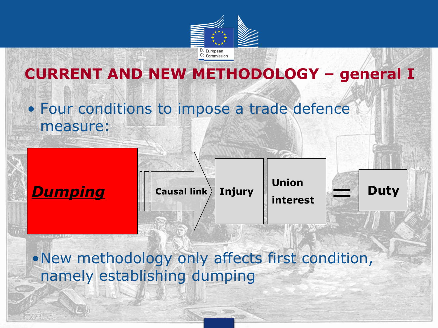

## **CURRENT AND NEW METHODOLOGY – general I**

## • Four conditions to impose a trade defence measure:





**interest**



•New methodology only affects first condition, namely establishing dumping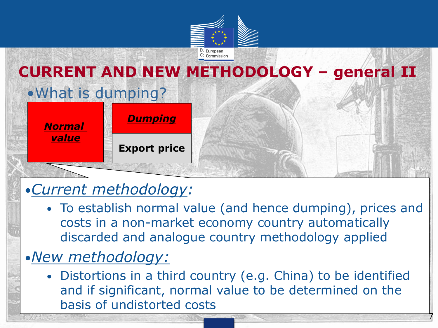

## •What is dumping? *Normal value* **Export price** *Dumping* **CURRENT AND NEW METHODOLOGY – general II**

## •*Current methodology:*

• To establish normal value (and hence dumping), prices and costs in a non-market economy country automatically discarded and analogue country methodology applied

## •*New methodology:*

• Distortions in a third country (e.g. China) to be identified and if significant, normal value to be determined on the basis of undistorted costs

7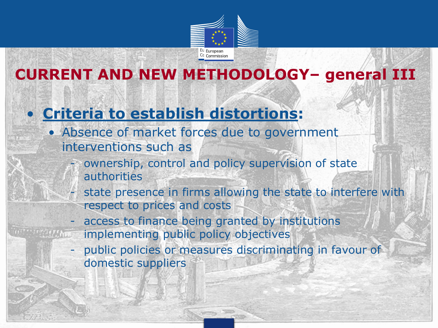

## **CURRENT AND NEW METHODOLOGY– general III**

## • **Criteria to establish distortions:**

- Absence of market forces due to government interventions such as
	- ownership, control and policy supervision of state authorities
	- state presence in firms allowing the state to interfere with respect to prices and costs
	- access to finance being granted by institutions implementing public policy objectives
	- public policies or measures discriminating in favour of domestic suppliers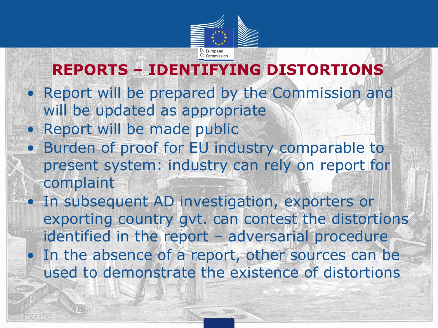

## **REPORTS – IDENTIFYING DISTORTIONS**

- Report will be prepared by the Commission and will be updated as appropriate
- Report will be made public
- Burden of proof for EU industry comparable to present system: industry can rely on report for complaint
- In subsequent AD investigation, exporters or exporting country gvt. can contest the distortions identified in the report – adversarial procedure • In the absence of a report, other sources can be used to demonstrate the existence of distortions

provided and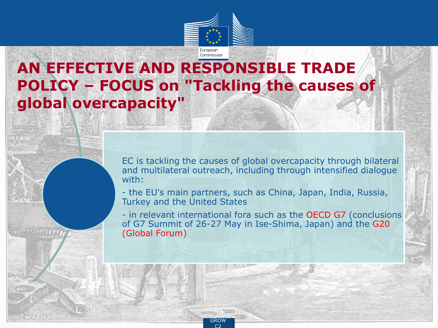

### **AN EFFECTIVE AND RESPONSIBLE TRADE POLICY – FOCUS on "Tackling the causes of global overcapacity"**

EC is tackling the causes of global overcapacity through bilateral and multilateral outreach, including through intensified dialogue with:

- the EU's main partners, such as China, Japan, India, Russia, Turkey and the United States

- in relevant international fora such as the OECD G7 (conclusions of G7 Summit of 26-27 May in Ise-Shima, Japan) and the G20 (Global Forum)

*1.d*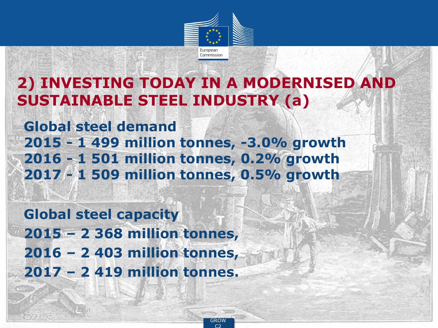

## **2) INVESTING TODAY IN A MODERNISED AND SUSTAINABLE STEEL INDUSTRY (a)**

**Global steel demand 2015 - 1 499 million tonnes, -3.0% growth 2016 - 1 501 million tonnes, 0.2% growth 2017 - 1 509 million tonnes, 0.5% growth**

**T Global steel capacity 2015 – 2 368 million tonnes, 2016 – 2 403 million tonnes, 2017 – 2 419 million tonnes.**

> **ENTRY** GROW C2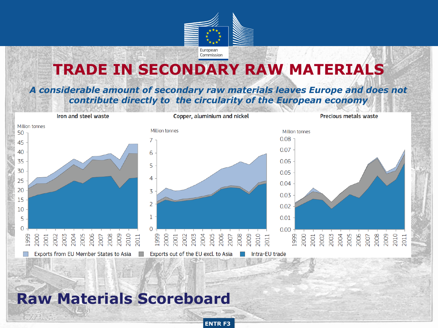

#### **TRADE IN SECONDARY RAW MATERIALS**

#### *A considerable amount of secondary raw materials leaves Europe and does not contribute directly to the circularity of the European economy*



**ENTR F3** 

#### **Raw Materials Scoreboard**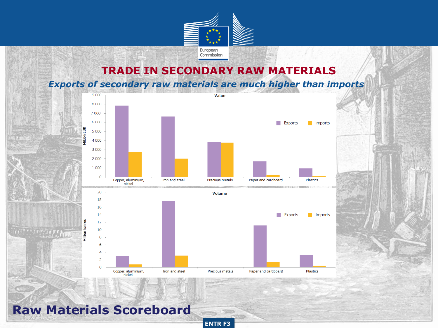

#### **TRADE IN SECONDARY RAW MATERIALS**

*Exports of secondary raw materials are much higher than imports*



**ENTR F3** 

**Raw Materials Scoreboard**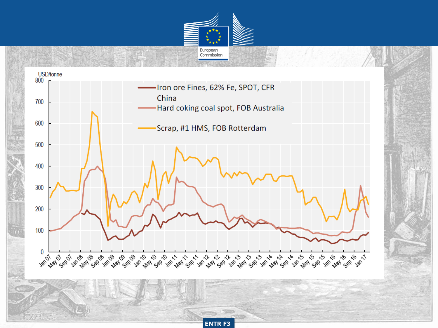

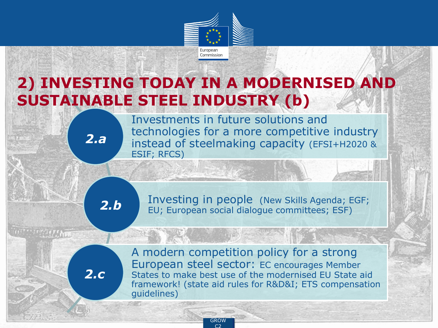

## **2) INVESTING TODAY IN A MODERNISED AND SUSTAINABLE STEEL INDUSTRY (b)**

Investments in future solutions and technologies for a more competitive industry instead of steelmaking capacity (EFSI+H2020 & ESIF; RFCS)

*2.b*

*2.a*

Investing in people (New Skills Agenda; EGF; EU; European social dialogue committees; ESF)

*2.c*

A modern competition policy for a strong European steel sector: EC encourages Member States to make best use of the modernised EU State aid framework! (state aid rules for R&D&I; ETS compensation guidelines)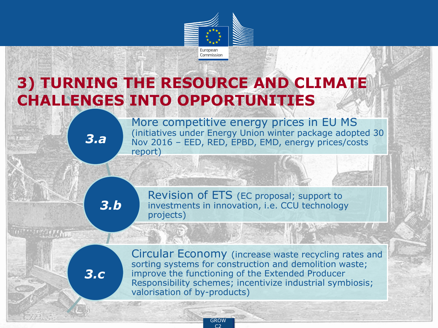

## **3) TURNING THE RESOURCE AND CLIMATE CHALLENGES INTO OPPORTUNITIES**

*3.a*

More competitive energy prices in EU MS (initiatives under Energy Union winter package adopted 30 Nov 2016 – EED, RED, EPBD, EMD, energy prices/costs report)

*3.b*

Revision of ETS (EC proposal; support to investments in innovation, i.e. CCU technology projects)

*3.c*

Circular Economy (increase waste recycling rates and sorting systems for construction and demolition waste; improve the functioning of the Extended Producer Responsibility schemes; incentivize industrial symbiosis; valorisation of by-products)

> **E**<br>C<sub>2</sub> C2